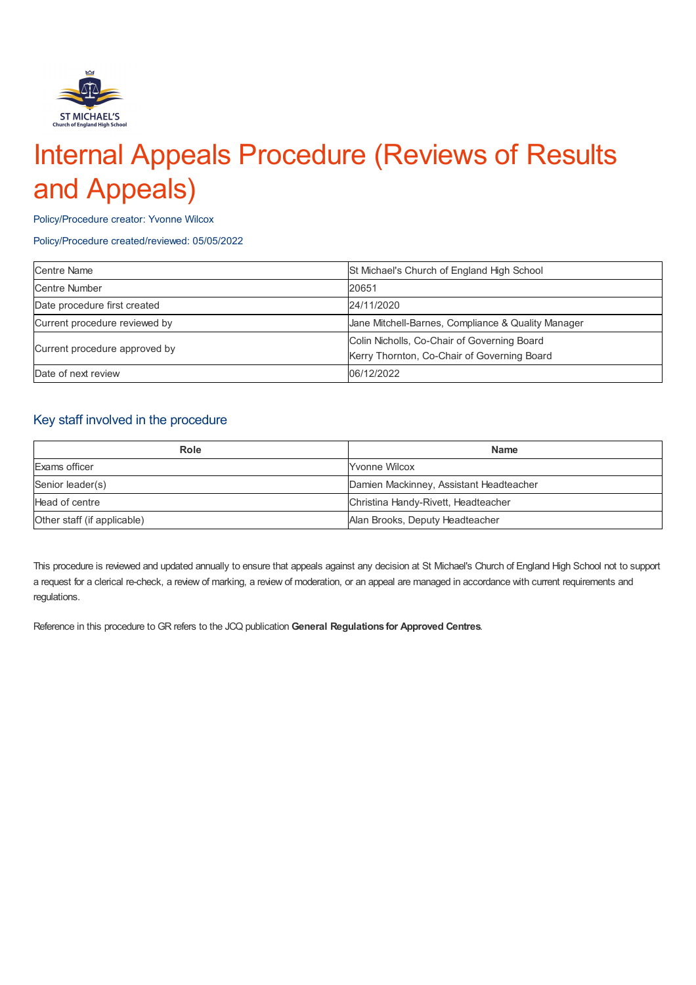

# Internal Appeals Procedure (Reviews of Results and Appeals)

Policy/Procedure creator: Yvonne Wilcox

#### Policy/Procedure created/reviewed: 05/05/2022

| <b>Centre Name</b>            | St Michael's Church of England High School         |
|-------------------------------|----------------------------------------------------|
| Centre Number                 | 20651                                              |
| Date procedure first created  | 24/11/2020                                         |
| Current procedure reviewed by | Jane Mitchell-Barnes, Compliance & Quality Manager |
| Current procedure approved by | Colin Nicholls, Co-Chair of Governing Board        |
|                               | Kerry Thornton, Co-Chair of Governing Board        |
| Date of next review           | 06/12/2022                                         |

## Key staff involved in the procedure

| Role                        | <b>Name</b>                             |
|-----------------------------|-----------------------------------------|
| Exams officer               | <b>Yvonne Wilcox</b>                    |
| Senior leader(s)            | Damien Mackinney, Assistant Headteacher |
| Head of centre              | Christina Handy-Rivett, Headteacher     |
| Other staff (if applicable) | Alan Brooks, Deputy Headteacher         |

This procedure is reviewed and updated annually to ensure that appeals against any decision at St Michael's Church of England High School not to support a request for a clerical re-check, a review of marking, a review of moderation, or an appeal are managed in accordance with current requirements and regulations.

Reference in this procedure to GR refers to the JCQ publication **General Regulations for Approved Centres**.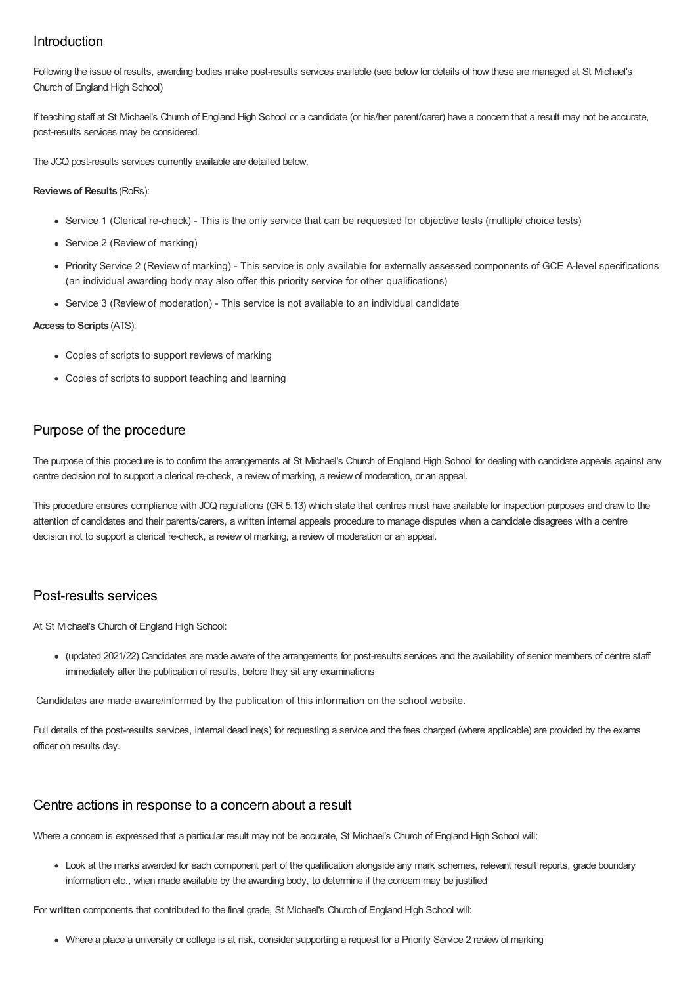## Introduction

Following the issue of results, awarding bodies make post-results services available (see below for details of how these are managed at St Michael's Church of England High School)

If teaching staff at St Michael's Church of England High School or a candidate (or his/her parent/carer) have a concern that a result may not be accurate, post-results services may be considered.

The JCQ post-results services currently available are detailed below.

#### **Reviewsof Results** (RoRs):

- Service 1 (Clerical re-check) This is the only service that can be requested for objective tests (multiple choice tests)
- Service 2 (Review of marking)
- Priority Service 2 (Review of marking) This service is only available for externally assessed components of GCE A-level specifications (an individual awarding body may also offer this priority service for other qualifications)
- Service 3 (Review of moderation) This service is not available to an individual candidate

#### **Access to Scripts** (ATS):

- Copies of scripts to support reviews of marking
- Copies of scripts to support teaching and learning

## Purpose of the procedure

The purpose of this procedure is to confirm the arrangements at St Michael's Church of England High School for dealing with candidate appeals against any centre decision not to support a clerical re-check, a review of marking, a review of moderation, or an appeal.

This procedure ensures compliance with JCQ regulations (GR 5.13) which state that centres must have available for inspection purposes and draw to the attention of candidates and their parents/carers, a written internal appeals procedure to manage disputes when a candidate disagrees with a centre decision not to support a clerical re-check, a review of marking, a review of moderation or an appeal.

## Post-results services

At St Michael's Church of England High School:

(updated 2021/22) Candidates are made aware of the arrangements for post-results services and the availability of senior members of centre staff immediately after the publication of results, before they sit any examinations

Candidates are made aware/informed by the publication of this information on the school website.

Full details of the post-results services, internal deadline(s) for requesting a service and the fees charged (where applicable) are provided by the exams officer on results day.

#### Centre actions in response to a concern about a result

Where a concern is expressed that a particular result may not be accurate, St Michael's Church of England High School will:

Look at the marks awarded for each component part of the qualification alongside any mark schemes, relevant result reports, grade boundary information etc., when made available by the awarding body, to determine if the concern may be justified

For **written** components that contributed to the final grade, St Michael's Church of England High School will:

• Where a place a university or college is at risk, consider supporting a request for a Priority Service 2 review of marking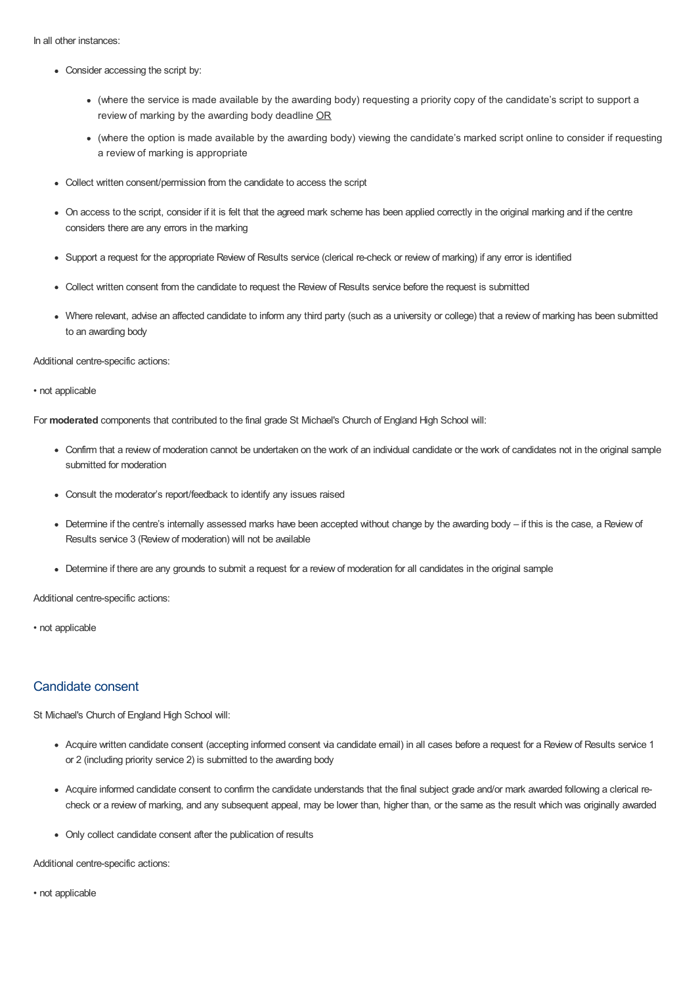In all other instances:

- Consider accessing the script by:
	- (where the service is made available by the awarding body) requesting a priority copy of the candidate's script to support a review of marking by the awarding body deadline OR
	- (where the option is made available by the awarding body) viewing the candidate's marked script online to consider if requesting a review of marking is appropriate
- Collect written consent/permission from the candidate to access the script
- On access to the script, consider if it is felt that the agreed mark scheme has been applied correctly in the original marking and if the centre considers there are any errors in the marking
- Support a request for the appropriate Review of Results service (clerical re-check or review of marking) if any error is identified
- Collect written consent from the candidate to request the Review of Results service before the request is submitted
- Where relevant, advise an affected candidate to inform any third party (such as a university or college) that a review of marking has been submitted to an awarding body

Additional centre-specific actions:

• not applicable

For **moderated** components that contributed to the final grade St Michael's Church of England High School will:

- Confirm that a review of moderation cannot be undertaken on the work of an individual candidate or the work of candidates not in the original sample submitted for moderation
- Consult the moderator's report/feedback to identify any issues raised
- Determine if the centre's internally assessed marks have been accepted without change by the awarding body if this is the case, a Review of Results service 3 (Review of moderation) will not be available
- Determine if there are any grounds to submit a request for a review of moderation for all candidates in the original sample

Additional centre-specific actions:

• not applicable

#### Candidate consent

St Michael's Church of England High School will:

- Acquire written candidate consent (accepting informed consent via candidate email) in all cases before a request for a Review of Results service 1 or 2 (including priority service 2) is submitted to the awarding body
- Acquire informed candidate consent to confirm the candidate understands that the final subject grade and/or mark awarded following a clerical recheck or a review of marking, and any subsequent appeal, may be lower than, higher than, or the same as the result which was originally awarded
- Only collect candidate consent after the publication of results

Additional centre-specific actions:

• not applicable